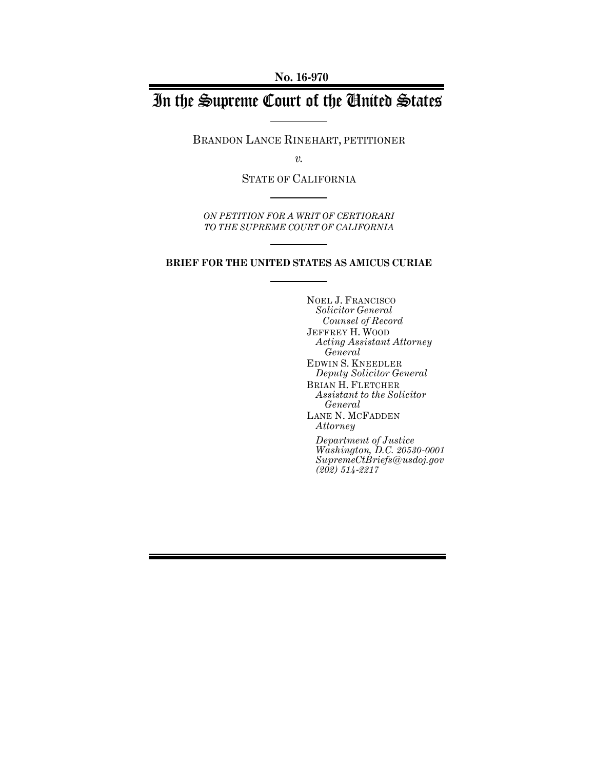**No. 16-970**

# In the Supreme Court of the United States

BRANDON LANCE RINEHART, PETITIONER

*v.*

STATE OF CALIFORNIA

*ON PETITION FOR A WRIT OF CERTIORARI TO THE SUPREME COURT OF CALIFORNIA*

#### **BRIEF FOR THE UNITED STATES AS AMICUS CURIAE**

NOEL J. FRANCISCO *Solicitor General Counsel of Record* JEFFREY H. WOOD *Acting Assistant Attorney General* EDWIN S. KNEEDLER *Deputy Solicitor General* BRIAN H. FLETCHER *Assistant to the Solicitor General* LANE N. MCFADDEN *Attorney Department of Justice Washington, D.C. 20530-0001 SupremeCtBriefs@usdoj.gov (202) 514-2217*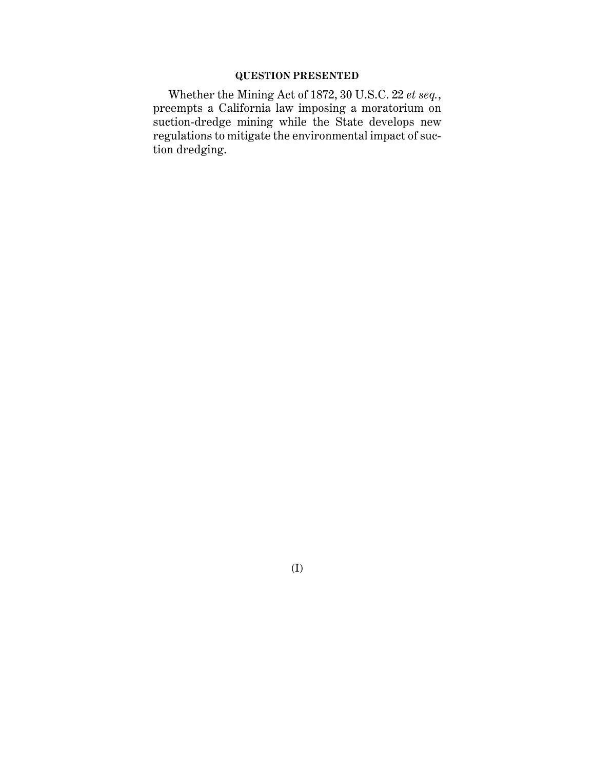# **QUESTION PRESENTED**

Whether the Mining Act of 1872, 30 U.S.C. 22 *et seq.*, preempts a California law imposing a moratorium on suction-dredge mining while the State develops new regulations to mitigate the environmental impact of suction dredging.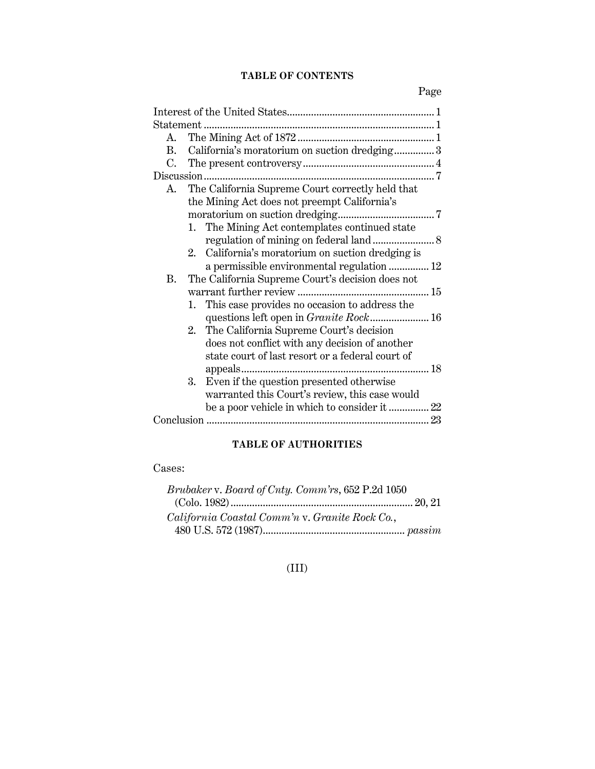# **TABLE OF CONTENTS**

Page

| A.           |    |                                                   |  |  |
|--------------|----|---------------------------------------------------|--|--|
| $\mathbf{R}$ |    | California's moratorium on suction dredging 3     |  |  |
| C.           |    |                                                   |  |  |
|              |    |                                                   |  |  |
| A.           |    | The California Supreme Court correctly held that  |  |  |
|              |    | the Mining Act does not preempt California's      |  |  |
|              |    |                                                   |  |  |
|              |    | 1. The Mining Act contemplates continued state    |  |  |
|              |    |                                                   |  |  |
|              |    | 2. California's moratorium on suction dredging is |  |  |
|              |    | a permissible environmental regulation  12        |  |  |
| <b>B.</b>    |    | The California Supreme Court's decision does not  |  |  |
|              |    |                                                   |  |  |
|              |    | 1. This case provides no occasion to address the  |  |  |
|              |    |                                                   |  |  |
|              |    | 2. The California Supreme Court's decision        |  |  |
|              |    | does not conflict with any decision of another    |  |  |
|              |    | state court of last resort or a federal court of  |  |  |
|              |    |                                                   |  |  |
|              | 3. | Even if the question presented otherwise          |  |  |
|              |    | warranted this Court's review, this case would    |  |  |
|              |    | be a poor vehicle in which to consider it  22     |  |  |
|              |    |                                                   |  |  |

# **TABLE OF AUTHORITIES**

Cases:

| Brubaker v. Board of Cnty. Comm'rs, 652 P.2d 1050 |  |
|---------------------------------------------------|--|
|                                                   |  |
| California Coastal Comm'n v. Granite Rock Co.,    |  |
|                                                   |  |

# (III)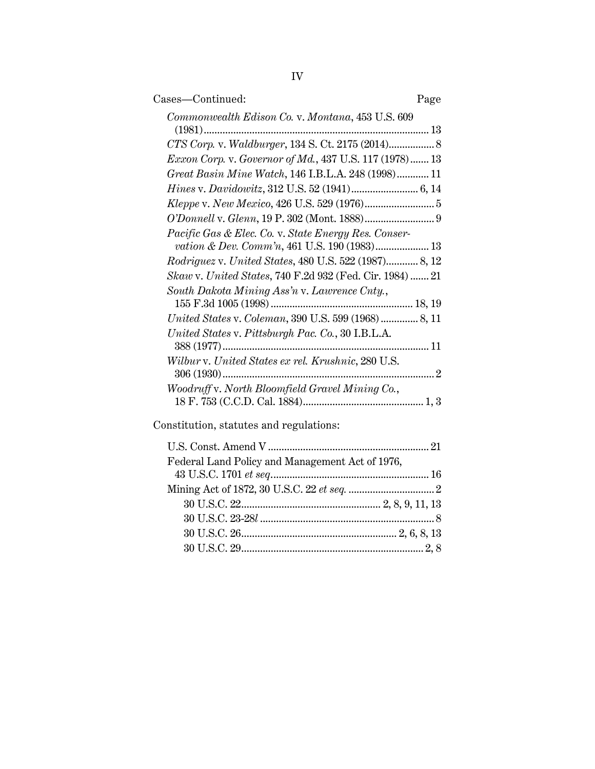| Cases-Continued:                                                                                     | Page |
|------------------------------------------------------------------------------------------------------|------|
| Commonwealth Edison Co. v. Montana, 453 U.S. 609                                                     |      |
|                                                                                                      |      |
| CTS Corp. v. Waldburger, 134 S. Ct. 2175 (2014) 8                                                    |      |
| <i>Exxon Corp. v. Governor of Md.</i> , 437 U.S. 117 (1978) 13                                       |      |
| Great Basin Mine Watch, 146 I.B.L.A. 248 (1998) 11                                                   |      |
|                                                                                                      |      |
|                                                                                                      |      |
|                                                                                                      |      |
| Pacific Gas & Elec. Co. v. State Energy Res. Conser-<br>vation & Dev. Comm'n, 461 U.S. 190 (1983) 13 |      |
| Rodriguez v. United States, 480 U.S. 522 (1987) 8, 12                                                |      |
| Skaw v. United States, 740 F.2d 932 (Fed. Cir. 1984) 21                                              |      |
| South Dakota Mining Ass'n v. Lawrence Cnty.,                                                         |      |
|                                                                                                      |      |
|                                                                                                      |      |
| United States v. Pittsburgh Pac. Co., 30 I.B.L.A.                                                    |      |
|                                                                                                      |      |
| Wilbur v. United States ex rel. Krushnic, 280 U.S.                                                   |      |
|                                                                                                      |      |
| Woodruff v. North Bloomfield Gravel Mining Co.,                                                      |      |
|                                                                                                      |      |
|                                                                                                      |      |

Constitution, statutes and regulations:

| Federal Land Policy and Management Act of 1976, |  |
|-------------------------------------------------|--|
|                                                 |  |
|                                                 |  |
|                                                 |  |
|                                                 |  |
|                                                 |  |
|                                                 |  |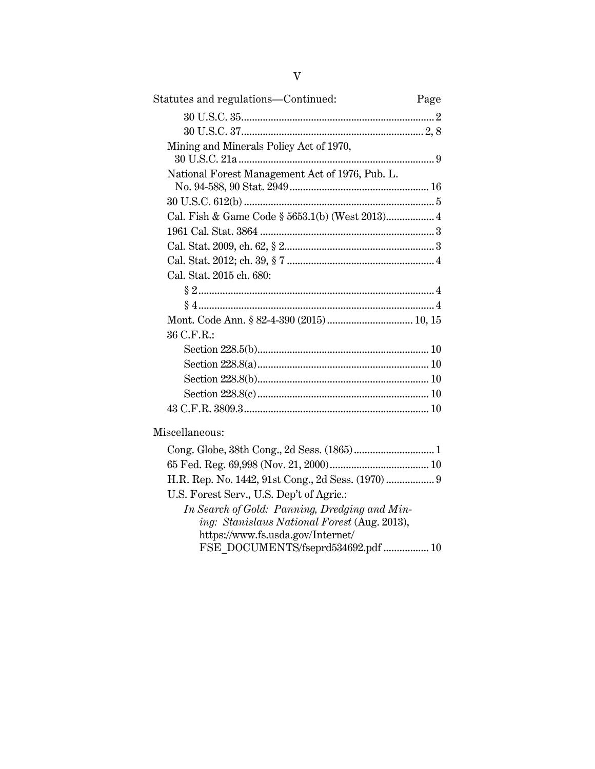| Statutes and regulations—Continued:                                                            | Page |
|------------------------------------------------------------------------------------------------|------|
|                                                                                                |      |
|                                                                                                |      |
| Mining and Minerals Policy Act of 1970,                                                        |      |
| National Forest Management Act of 1976, Pub. L.                                                |      |
|                                                                                                |      |
| Cal. Fish & Game Code § 5653.1(b) (West 2013) 4                                                |      |
|                                                                                                |      |
|                                                                                                |      |
|                                                                                                |      |
| Cal. Stat. 2015 ch. 680:                                                                       |      |
|                                                                                                |      |
|                                                                                                |      |
|                                                                                                |      |
| 36 C.F.R.:                                                                                     |      |
|                                                                                                |      |
|                                                                                                |      |
|                                                                                                |      |
|                                                                                                |      |
|                                                                                                |      |
| Miscellaneous:                                                                                 |      |
|                                                                                                |      |
|                                                                                                |      |
| H.R. Rep. No. 1442, 91st Cong., 2d Sess. (1970)  9<br>U.S. Forest Serv., U.S. Dep't of Agric.: |      |
|                                                                                                |      |

*In Search of Gold: Panning, Dredging and Mining: Stanislaus National Forest* (Aug. 2013), https://www.fs.usda.gov/Internet/ FSE\_DOCUMENTS/fseprd534692.pdf ................. 10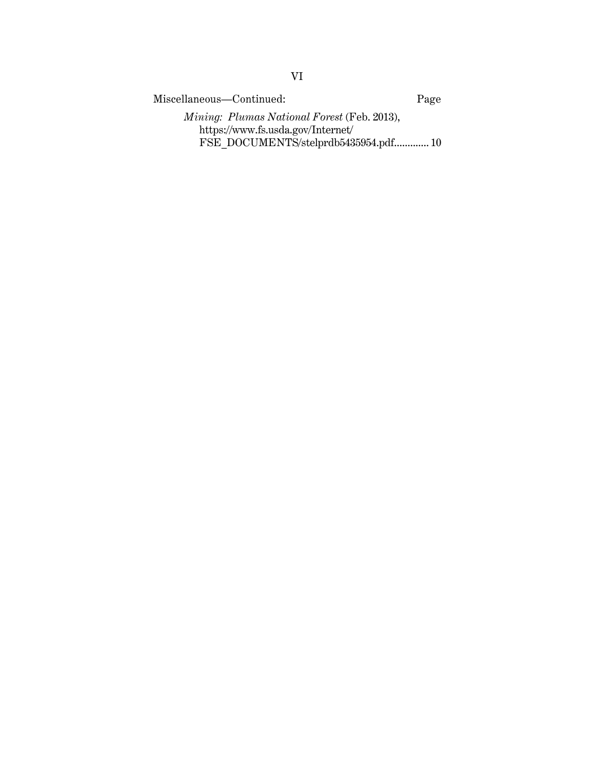Miscellaneous—Continued: Page *Mining: Plumas National Forest* (Feb. 2013), https://www.fs.usda.gov/Internet/ FSE\_DOCUMENTS/stelprdb5435954.pdf............. 10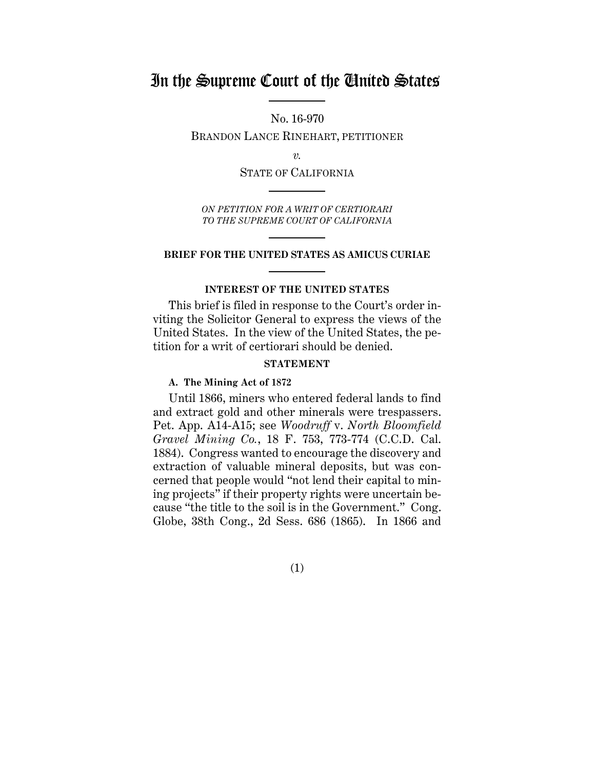# In the Supreme Court of the United States

No. 16-970

BRANDON LANCE RINEHART, PETITIONER

*v.*

STATE OF CALIFORNIA

*ON PETITION FOR A WRIT OF CERTIORARI TO THE SUPREME COURT OF CALIFORNIA*

#### **BRIEF FOR THE UNITED STATES AS AMICUS CURIAE**

#### **INTEREST OF THE UNITED STATES**

This brief is filed in response to the Court's order inviting the Solicitor General to express the views of the United States. In the view of the United States, the petition for a writ of certiorari should be denied.

# **STATEMENT**

#### **A. The Mining Act of 1872**

Until 1866, miners who entered federal lands to find and extract gold and other minerals were trespassers. Pet. App. A14-A15; see *Woodruff* v. *North Bloomfield Gravel Mining Co.*, 18 F. 753, 773-774 (C.C.D. Cal. 1884). Congress wanted to encourage the discovery and extraction of valuable mineral deposits, but was concerned that people would "not lend their capital to mining projects" if their property rights were uncertain because "the title to the soil is in the Government." Cong. Globe, 38th Cong., 2d Sess. 686 (1865). In 1866 and

(1)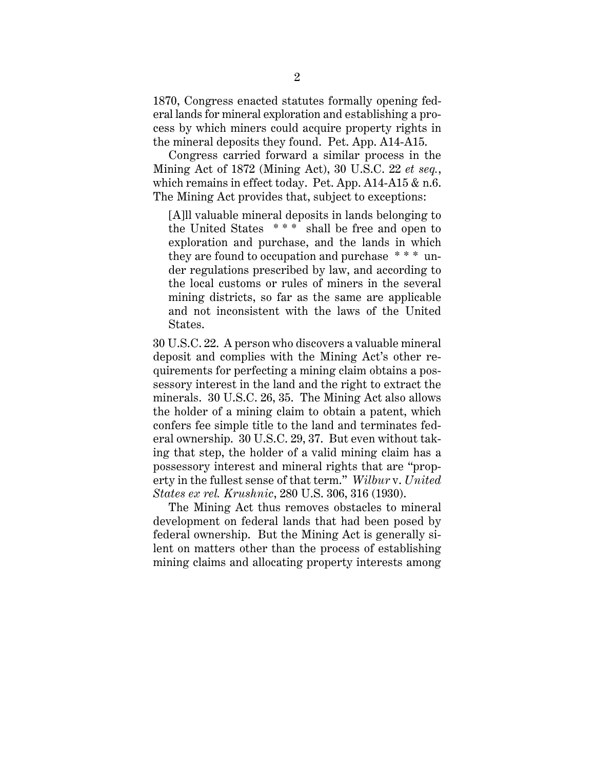1870, Congress enacted statutes formally opening federal lands for mineral exploration and establishing a process by which miners could acquire property rights in the mineral deposits they found. Pet. App. A14-A15.

Congress carried forward a similar process in the Mining Act of 1872 (Mining Act), 30 U.S.C. 22 *et seq.*, which remains in effect today. Pet. App. A14-A15 & n.6. The Mining Act provides that, subject to exceptions:

[A]ll valuable mineral deposits in lands belonging to the United States  $***$  shall be free and open to exploration and purchase, and the lands in which they are found to occupation and purchase \* \* \* under regulations prescribed by law, and according to the local customs or rules of miners in the several mining districts, so far as the same are applicable and not inconsistent with the laws of the United States.

30 U.S.C. 22. A person who discovers a valuable mineral deposit and complies with the Mining Act's other requirements for perfecting a mining claim obtains a possessory interest in the land and the right to extract the minerals. 30 U.S.C. 26, 35. The Mining Act also allows the holder of a mining claim to obtain a patent, which confers fee simple title to the land and terminates federal ownership. 30 U.S.C. 29, 37. But even without taking that step, the holder of a valid mining claim has a possessory interest and mineral rights that are "property in the fullest sense of that term." *Wilbur* v. *United States ex rel. Krushnic*, 280 U.S. 306, 316 (1930).

The Mining Act thus removes obstacles to mineral development on federal lands that had been posed by federal ownership. But the Mining Act is generally silent on matters other than the process of establishing mining claims and allocating property interests among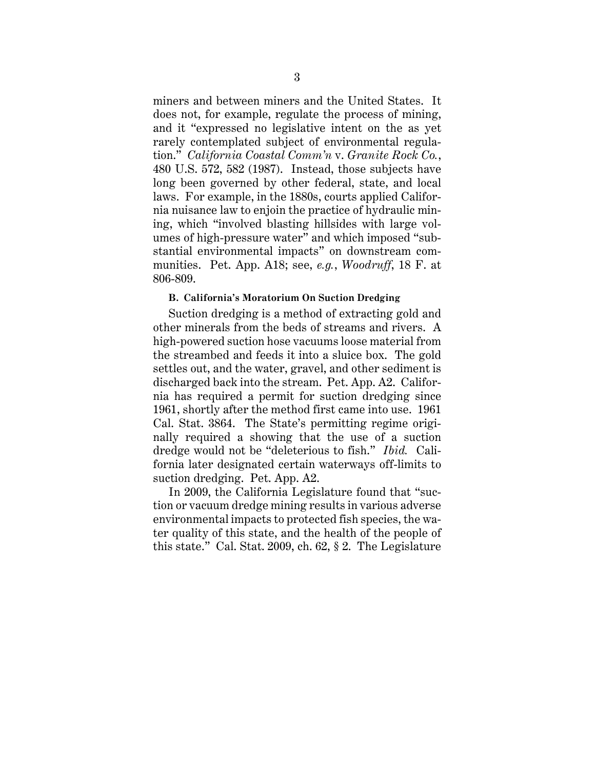miners and between miners and the United States. It does not, for example, regulate the process of mining, and it "expressed no legislative intent on the as yet rarely contemplated subject of environmental regulation." *California Coastal Comm'n* v. *Granite Rock Co.*, 480 U.S. 572, 582 (1987). Instead, those subjects have long been governed by other federal, state, and local laws. For example, in the 1880s, courts applied California nuisance law to enjoin the practice of hydraulic mining, which "involved blasting hillsides with large volumes of high-pressure water" and which imposed "substantial environmental impacts" on downstream communities. Pet. App. A18; see, *e.g.*, *Woodruff*, 18 F. at 806-809.

#### **B. California's Moratorium On Suction Dredging**

Suction dredging is a method of extracting gold and other minerals from the beds of streams and rivers. A high-powered suction hose vacuums loose material from the streambed and feeds it into a sluice box. The gold settles out, and the water, gravel, and other sediment is discharged back into the stream. Pet. App. A2. California has required a permit for suction dredging since 1961, shortly after the method first came into use. 1961 Cal. Stat. 3864. The State's permitting regime originally required a showing that the use of a suction dredge would not be "deleterious to fish." *Ibid.* California later designated certain waterways off-limits to suction dredging. Pet. App. A2.

In 2009, the California Legislature found that "suction or vacuum dredge mining results in various adverse environmental impacts to protected fish species, the water quality of this state, and the health of the people of this state." Cal. Stat. 2009, ch. 62, § 2. The Legislature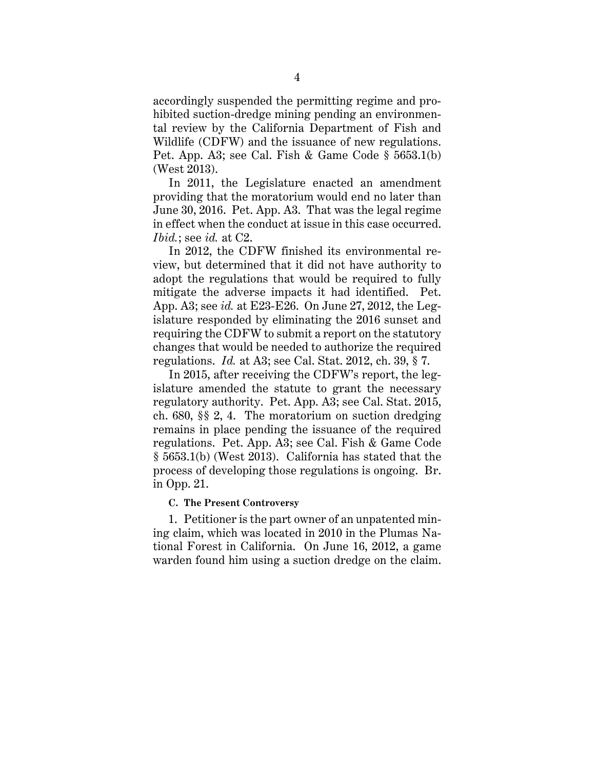accordingly suspended the permitting regime and prohibited suction-dredge mining pending an environmental review by the California Department of Fish and Wildlife (CDFW) and the issuance of new regulations. Pet. App. A3; see Cal. Fish & Game Code § 5653.1(b) (West 2013).

In 2011, the Legislature enacted an amendment providing that the moratorium would end no later than June 30, 2016. Pet. App. A3. That was the legal regime in effect when the conduct at issue in this case occurred. *Ibid.*; see *id.* at C2.

In 2012, the CDFW finished its environmental review, but determined that it did not have authority to adopt the regulations that would be required to fully mitigate the adverse impacts it had identified. Pet. App. A3; see *id.* at E23-E26. On June 27, 2012, the Legislature responded by eliminating the 2016 sunset and requiring the CDFW to submit a report on the statutory changes that would be needed to authorize the required regulations. *Id.* at A3; see Cal. Stat. 2012, ch. 39, § 7.

In 2015, after receiving the CDFW's report, the legislature amended the statute to grant the necessary regulatory authority. Pet. App. A3; see Cal. Stat. 2015, ch. 680, §§ 2, 4. The moratorium on suction dredging remains in place pending the issuance of the required regulations. Pet. App. A3; see Cal. Fish & Game Code § 5653.1(b) (West 2013). California has stated that the process of developing those regulations is ongoing. Br. in Opp. 21.

#### **C. The Present Controversy**

1. Petitioner is the part owner of an unpatented mining claim, which was located in 2010 in the Plumas National Forest in California. On June 16, 2012, a game warden found him using a suction dredge on the claim.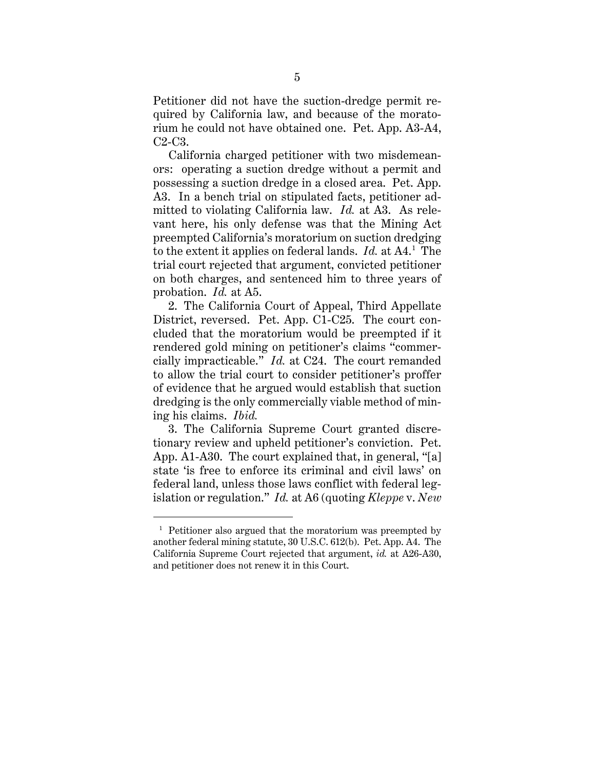Petitioner did not have the suction-dredge permit required by California law, and because of the moratorium he could not have obtained one. Pet. App. A3-A4, C2-C3.

California charged petitioner with two misdemeanors: operating a suction dredge without a permit and possessing a suction dredge in a closed area. Pet. App. A3. In a bench trial on stipulated facts, petitioner admitted to violating California law. *Id.* at A3. As relevant here, his only defense was that the Mining Act preempted California's moratorium on suction dredging to the extent it applies on federal lands. *Id.* at A4.<sup>1</sup> The trial court rejected that argument, convicted petitioner on both charges, and sentenced him to three years of probation. *Id.* at A5.

2. The California Court of Appeal, Third Appellate District, reversed. Pet. App. C1-C25. The court concluded that the moratorium would be preempted if it rendered gold mining on petitioner's claims "commercially impracticable." *Id.* at C24. The court remanded to allow the trial court to consider petitioner's proffer of evidence that he argued would establish that suction dredging is the only commercially viable method of mining his claims. *Ibid.*

3. The California Supreme Court granted discretionary review and upheld petitioner's conviction. Pet. App. A1-A30. The court explained that, in general, "[a] state 'is free to enforce its criminal and civil laws' on federal land, unless those laws conflict with federal legislation or regulation." *Id.* at A6 (quoting *Kleppe* v. *New* 

<sup>&</sup>lt;sup>1</sup> Petitioner also argued that the moratorium was preempted by another federal mining statute, 30 U.S.C. 612(b). Pet. App. A4. The California Supreme Court rejected that argument, *id.* at A26-A30, and petitioner does not renew it in this Court.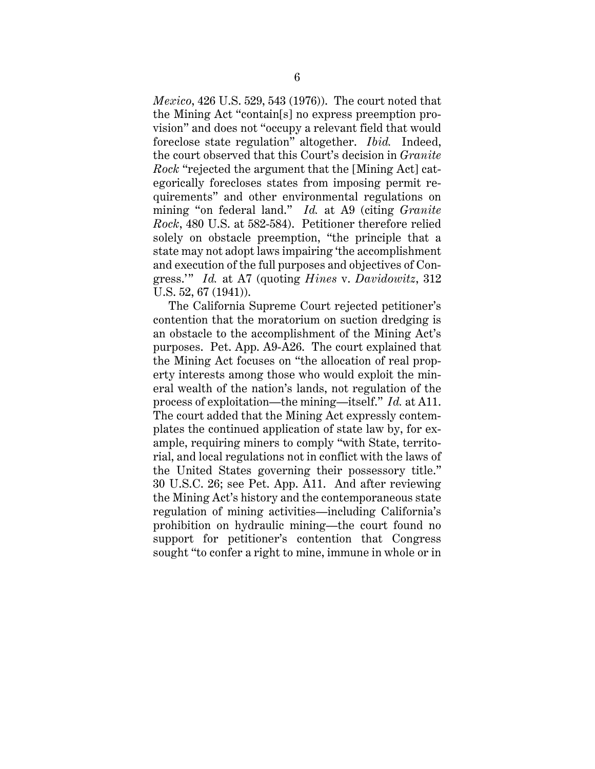*Mexico*, 426 U.S. 529, 543 (1976)). The court noted that the Mining Act "contain[s] no express preemption provision" and does not "occupy a relevant field that would foreclose state regulation" altogether. *Ibid.* Indeed, the court observed that this Court's decision in *Granite Rock* "rejected the argument that the [Mining Act] categorically forecloses states from imposing permit requirements" and other environmental regulations on mining "on federal land." *Id.* at A9 (citing *Granite Rock*, 480 U.S. at 582-584). Petitioner therefore relied solely on obstacle preemption, "the principle that a state may not adopt laws impairing 'the accomplishment and execution of the full purposes and objectives of Congress.'" *Id.* at A7 (quoting *Hines* v. *Davidowitz*, 312 U.S. 52, 67 (1941)).

The California Supreme Court rejected petitioner's contention that the moratorium on suction dredging is an obstacle to the accomplishment of the Mining Act's purposes. Pet. App. A9-A26. The court explained that the Mining Act focuses on "the allocation of real property interests among those who would exploit the mineral wealth of the nation's lands, not regulation of the process of exploitation—the mining—itself." *Id.* at A11. The court added that the Mining Act expressly contemplates the continued application of state law by, for example, requiring miners to comply "with State, territorial, and local regulations not in conflict with the laws of the United States governing their possessory title." 30 U.S.C. 26; see Pet. App. A11. And after reviewing the Mining Act's history and the contemporaneous state regulation of mining activities—including California's prohibition on hydraulic mining—the court found no support for petitioner's contention that Congress sought "to confer a right to mine, immune in whole or in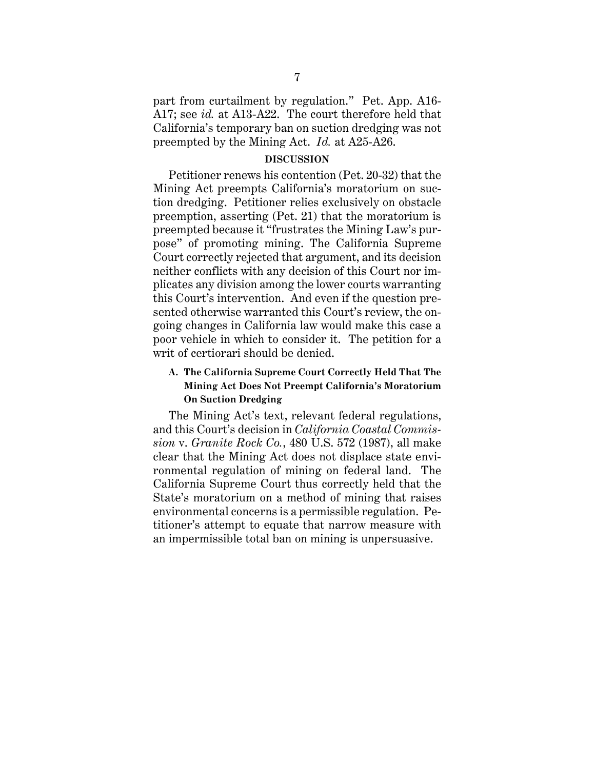part from curtailment by regulation." Pet. App. A16- A17; see *id.* at A13-A22. The court therefore held that California's temporary ban on suction dredging was not preempted by the Mining Act. *Id.* at A25-A26.

#### **DISCUSSION**

Petitioner renews his contention (Pet. 20-32) that the Mining Act preempts California's moratorium on suction dredging. Petitioner relies exclusively on obstacle preemption, asserting (Pet. 21) that the moratorium is preempted because it "frustrates the Mining Law's purpose" of promoting mining. The California Supreme Court correctly rejected that argument, and its decision neither conflicts with any decision of this Court nor implicates any division among the lower courts warranting this Court's intervention. And even if the question presented otherwise warranted this Court's review, the ongoing changes in California law would make this case a poor vehicle in which to consider it. The petition for a writ of certiorari should be denied.

# **A. The California Supreme Court Correctly Held That The Mining Act Does Not Preempt California's Moratorium On Suction Dredging**

The Mining Act's text, relevant federal regulations, and this Court's decision in *California Coastal Commission* v. *Granite Rock Co.*, 480 U.S. 572 (1987), all make clear that the Mining Act does not displace state environmental regulation of mining on federal land. The California Supreme Court thus correctly held that the State's moratorium on a method of mining that raises environmental concerns is a permissible regulation. Petitioner's attempt to equate that narrow measure with an impermissible total ban on mining is unpersuasive.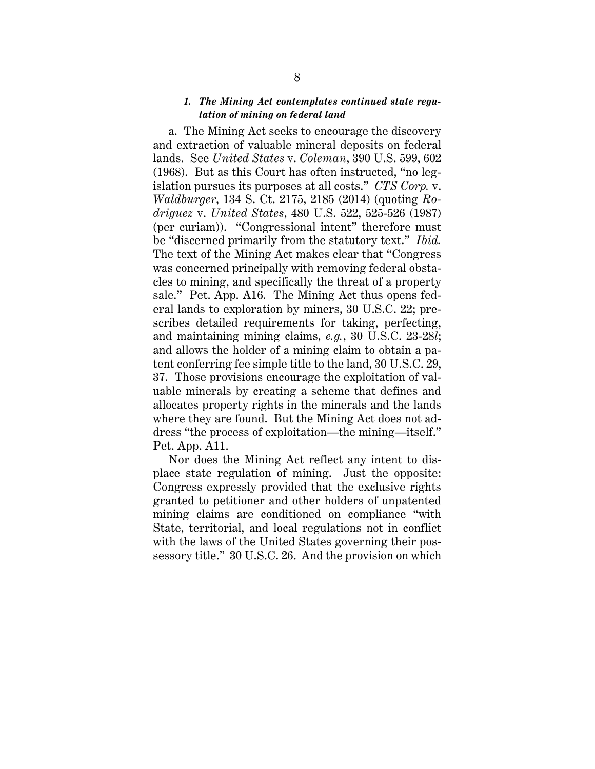## *1. The Mining Act contemplates continued state regulation of mining on federal land*

a. The Mining Act seeks to encourage the discovery and extraction of valuable mineral deposits on federal lands. See *United States* v. *Coleman*, 390 U.S. 599, 602 (1968). But as this Court has often instructed, "no legislation pursues its purposes at all costs." *CTS Corp.* v. *Waldburger*, 134 S. Ct. 2175, 2185 (2014) (quoting *Rodriguez* v. *United States*, 480 U.S. 522, 525-526 (1987) (per curiam)). "Congressional intent" therefore must be "discerned primarily from the statutory text." *Ibid.* The text of the Mining Act makes clear that "Congress was concerned principally with removing federal obstacles to mining, and specifically the threat of a property sale." Pet. App. A16. The Mining Act thus opens federal lands to exploration by miners, 30 U.S.C. 22; prescribes detailed requirements for taking, perfecting, and maintaining mining claims, *e.g.*, 30 U.S.C. 23-28*l*; and allows the holder of a mining claim to obtain a patent conferring fee simple title to the land, 30 U.S.C. 29, 37. Those provisions encourage the exploitation of valuable minerals by creating a scheme that defines and allocates property rights in the minerals and the lands where they are found. But the Mining Act does not address "the process of exploitation—the mining—itself." Pet. App. A11.

Nor does the Mining Act reflect any intent to displace state regulation of mining. Just the opposite: Congress expressly provided that the exclusive rights granted to petitioner and other holders of unpatented mining claims are conditioned on compliance "with State, territorial, and local regulations not in conflict with the laws of the United States governing their possessory title." 30 U.S.C. 26. And the provision on which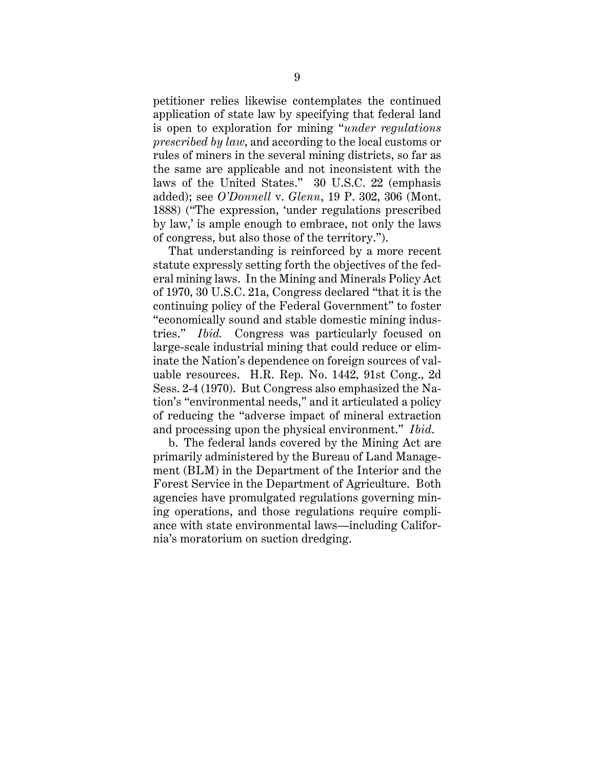petitioner relies likewise contemplates the continued application of state law by specifying that federal land is open to exploration for mining "*under regulations prescribed by law*, and according to the local customs or rules of miners in the several mining districts, so far as the same are applicable and not inconsistent with the laws of the United States." 30 U.S.C. 22 (emphasis added); see *O'Donnell* v. *Glenn*, 19 P. 302, 306 (Mont. 1888) ("The expression, 'under regulations prescribed by law,' is ample enough to embrace, not only the laws of congress, but also those of the territory.").

That understanding is reinforced by a more recent statute expressly setting forth the objectives of the federal mining laws. In the Mining and Minerals Policy Act of 1970, 30 U.S.C. 21a, Congress declared "that it is the continuing policy of the Federal Government" to foster "economically sound and stable domestic mining industries." *Ibid.* Congress was particularly focused on large-scale industrial mining that could reduce or eliminate the Nation's dependence on foreign sources of valuable resources. H.R. Rep. No. 1442, 91st Cong., 2d Sess. 2-4 (1970). But Congress also emphasized the Nation's "environmental needs," and it articulated a policy of reducing the "adverse impact of mineral extraction and processing upon the physical environment." *Ibid*.

b. The federal lands covered by the Mining Act are primarily administered by the Bureau of Land Management (BLM) in the Department of the Interior and the Forest Service in the Department of Agriculture. Both agencies have promulgated regulations governing mining operations, and those regulations require compliance with state environmental laws—including California's moratorium on suction dredging.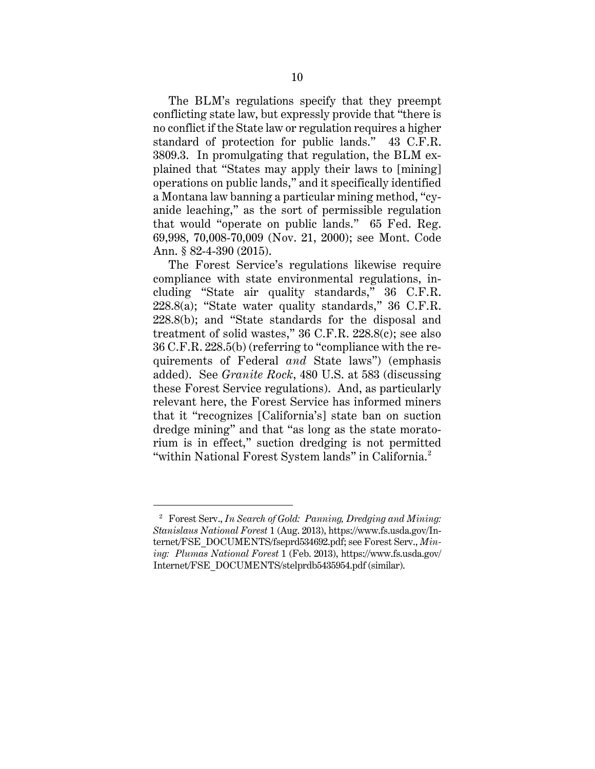The BLM's regulations specify that they preempt conflicting state law, but expressly provide that "there is no conflict if the State law or regulation requires a higher standard of protection for public lands." 43 C.F.R. 3809.3. In promulgating that regulation, the BLM explained that "States may apply their laws to [mining] operations on public lands," and it specifically identified a Montana law banning a particular mining method, "cyanide leaching," as the sort of permissible regulation that would "operate on public lands." 65 Fed. Reg. 69,998, 70,008-70,009 (Nov. 21, 2000); see Mont. Code Ann. § 82-4-390 (2015).

The Forest Service's regulations likewise require compliance with state environmental regulations, including "State air quality standards," 36 C.F.R. 228.8(a); "State water quality standards," 36 C.F.R. 228.8(b); and "State standards for the disposal and treatment of solid wastes," 36 C.F.R. 228.8(c); see also 36 C.F.R. 228.5(b) (referring to "compliance with the requirements of Federal *and* State laws") (emphasis added). See *Granite Rock*, 480 U.S. at 583 (discussing these Forest Service regulations). And, as particularly relevant here, the Forest Service has informed miners that it "recognizes [California's] state ban on suction dredge mining" and that "as long as the state moratorium is in effect," suction dredging is not permitted "within National Forest System lands" in California.<sup>2</sup>

<sup>2</sup> Forest Serv., *In Search of Gold: Panning, Dredging and Mining: Stanislaus National Forest* 1 (Aug. 2013), https://www.fs.usda.gov/Internet/FSE\_DOCUMENTS/fseprd534692.pdf; see Forest Serv., *Mining: Plumas National Forest* 1 (Feb. 2013), https://www.fs.usda.gov/ Internet/FSE\_DOCUMENTS/stelprdb5435954.pdf (similar).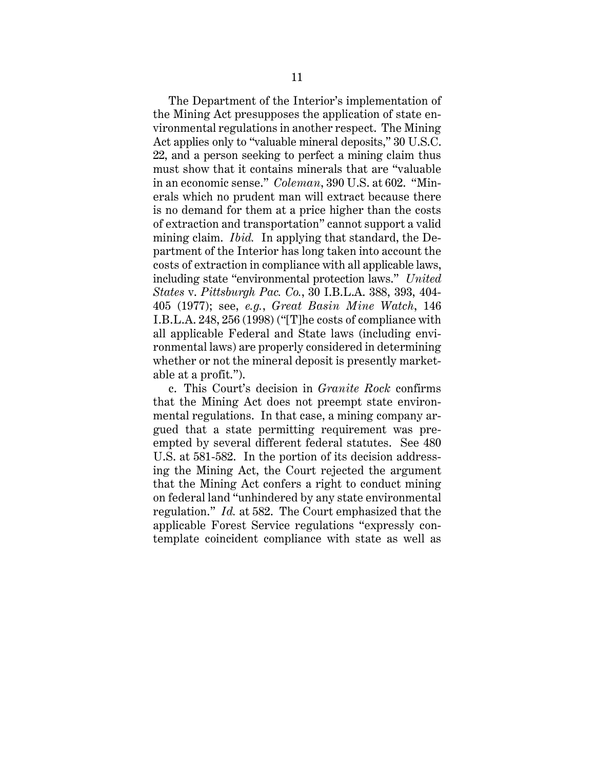The Department of the Interior's implementation of the Mining Act presupposes the application of state environmental regulations in another respect. The Mining Act applies only to "valuable mineral deposits," 30 U.S.C. 22, and a person seeking to perfect a mining claim thus must show that it contains minerals that are "valuable in an economic sense." *Coleman*, 390 U.S. at 602. "Minerals which no prudent man will extract because there is no demand for them at a price higher than the costs of extraction and transportation" cannot support a valid mining claim. *Ibid.* In applying that standard, the Department of the Interior has long taken into account the costs of extraction in compliance with all applicable laws, including state "environmental protection laws." *United States* v. *Pittsburgh Pac. Co.*, 30 I.B.L.A. 388, 393, 404- 405 (1977); see, *e.g.*, *Great Basin Mine Watch*, 146 I.B.L.A. 248, 256 (1998) ("[T]he costs of compliance with all applicable Federal and State laws (including environmental laws) are properly considered in determining whether or not the mineral deposit is presently marketable at a profit.").

c. This Court's decision in *Granite Rock* confirms that the Mining Act does not preempt state environmental regulations. In that case, a mining company argued that a state permitting requirement was preempted by several different federal statutes. See 480 U.S. at 581-582. In the portion of its decision addressing the Mining Act, the Court rejected the argument that the Mining Act confers a right to conduct mining on federal land "unhindered by any state environmental regulation." *Id.* at 582. The Court emphasized that the applicable Forest Service regulations "expressly contemplate coincident compliance with state as well as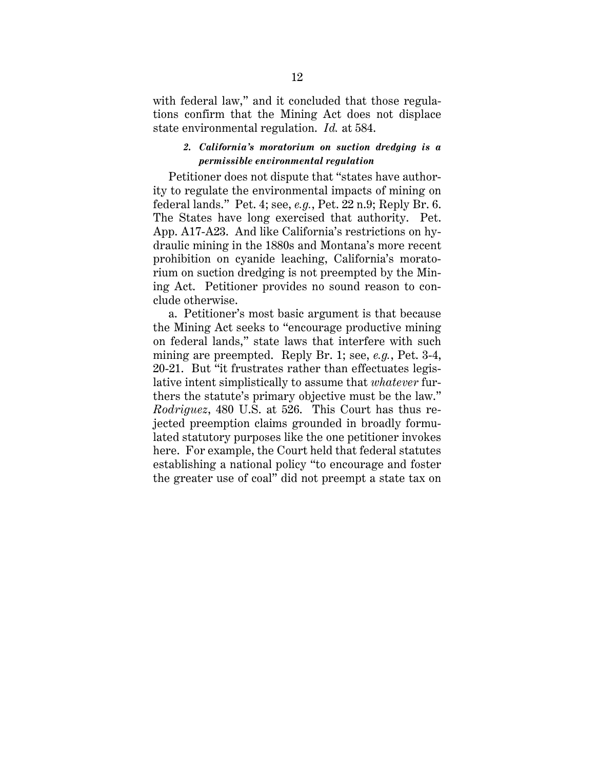with federal law," and it concluded that those regulations confirm that the Mining Act does not displace state environmental regulation. *Id.* at 584.

## *2. California's moratorium on suction dredging is a permissible environmental regulation*

Petitioner does not dispute that "states have authority to regulate the environmental impacts of mining on federal lands." Pet. 4; see, *e.g.*, Pet. 22 n.9; Reply Br. 6. The States have long exercised that authority. Pet. App. A17-A23. And like California's restrictions on hydraulic mining in the 1880s and Montana's more recent prohibition on cyanide leaching, California's moratorium on suction dredging is not preempted by the Mining Act. Petitioner provides no sound reason to conclude otherwise.

a. Petitioner's most basic argument is that because the Mining Act seeks to "encourage productive mining on federal lands," state laws that interfere with such mining are preempted. Reply Br. 1; see, *e.g.*, Pet. 3-4, 20-21. But "it frustrates rather than effectuates legislative intent simplistically to assume that *whatever* furthers the statute's primary objective must be the law." *Rodriguez*, 480 U.S. at 526. This Court has thus rejected preemption claims grounded in broadly formulated statutory purposes like the one petitioner invokes here. For example, the Court held that federal statutes establishing a national policy "to encourage and foster the greater use of coal" did not preempt a state tax on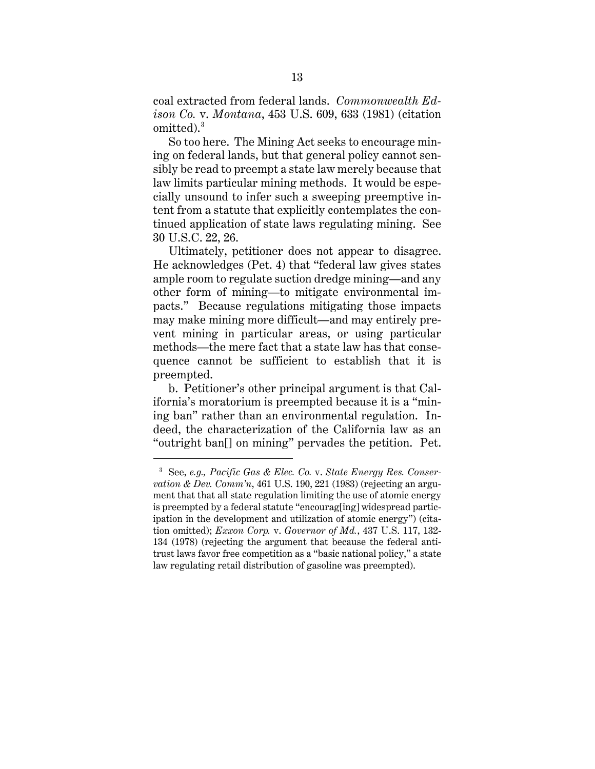coal extracted from federal lands. *Commonwealth Edison Co.* v. *Montana*, 453 U.S. 609, 633 (1981) (citation omitted). 3

So too here. The Mining Act seeks to encourage mining on federal lands, but that general policy cannot sensibly be read to preempt a state law merely because that law limits particular mining methods. It would be especially unsound to infer such a sweeping preemptive intent from a statute that explicitly contemplates the continued application of state laws regulating mining. See 30 U.S.C. 22, 26.

Ultimately, petitioner does not appear to disagree. He acknowledges (Pet. 4) that "federal law gives states ample room to regulate suction dredge mining—and any other form of mining—to mitigate environmental impacts." Because regulations mitigating those impacts may make mining more difficult—and may entirely prevent mining in particular areas, or using particular methods—the mere fact that a state law has that consequence cannot be sufficient to establish that it is preempted.

b. Petitioner's other principal argument is that California's moratorium is preempted because it is a "mining ban" rather than an environmental regulation. Indeed, the characterization of the California law as an "outright ban[] on mining" pervades the petition. Pet.

<sup>3</sup> See, *e.g., Pacific Gas & Elec. Co.* v. *State Energy Res. Conservation & Dev. Comm'n*, 461 U.S. 190, 221 (1983) (rejecting an argument that that all state regulation limiting the use of atomic energy is preempted by a federal statute "encourag[ing] widespread participation in the development and utilization of atomic energy") (citation omitted); *Exxon Corp.* v. *Governor of Md.*, 437 U.S. 117, 132- 134 (1978) (rejecting the argument that because the federal antitrust laws favor free competition as a "basic national policy," a state law regulating retail distribution of gasoline was preempted).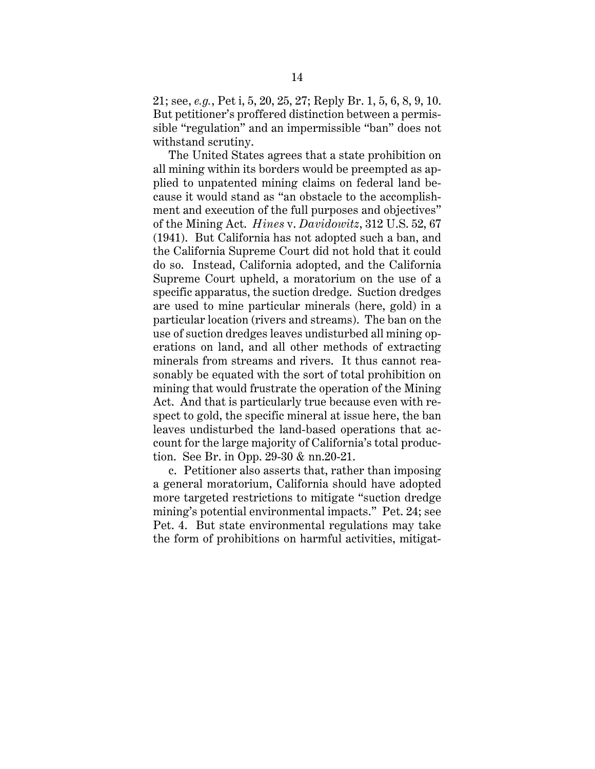21; see, *e.g.*, Pet i, 5, 20, 25, 27; Reply Br. 1, 5, 6, 8, 9, 10. But petitioner's proffered distinction between a permissible "regulation" and an impermissible "ban" does not withstand scrutiny.

The United States agrees that a state prohibition on all mining within its borders would be preempted as applied to unpatented mining claims on federal land because it would stand as "an obstacle to the accomplishment and execution of the full purposes and objectives" of the Mining Act. *Hines* v. *Davidowitz*, 312 U.S. 52, 67 (1941). But California has not adopted such a ban, and the California Supreme Court did not hold that it could do so. Instead, California adopted, and the California Supreme Court upheld, a moratorium on the use of a specific apparatus, the suction dredge. Suction dredges are used to mine particular minerals (here, gold) in a particular location (rivers and streams). The ban on the use of suction dredges leaves undisturbed all mining operations on land, and all other methods of extracting minerals from streams and rivers. It thus cannot reasonably be equated with the sort of total prohibition on mining that would frustrate the operation of the Mining Act. And that is particularly true because even with respect to gold, the specific mineral at issue here, the ban leaves undisturbed the land-based operations that account for the large majority of California's total production. See Br. in Opp. 29-30 & nn.20-21.

c. Petitioner also asserts that, rather than imposing a general moratorium, California should have adopted more targeted restrictions to mitigate "suction dredge mining's potential environmental impacts." Pet. 24; see Pet. 4. But state environmental regulations may take the form of prohibitions on harmful activities, mitigat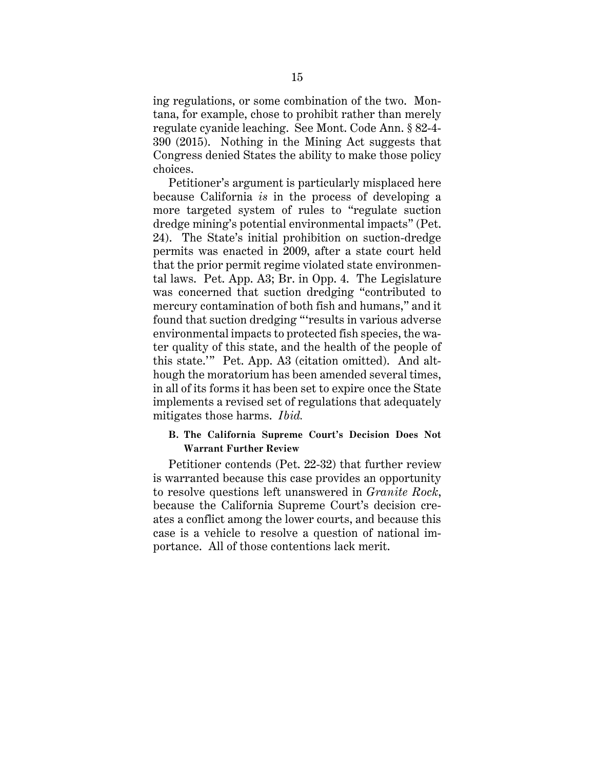ing regulations, or some combination of the two. Montana, for example, chose to prohibit rather than merely regulate cyanide leaching. See Mont. Code Ann. § 82-4- 390 (2015). Nothing in the Mining Act suggests that Congress denied States the ability to make those policy choices.

Petitioner's argument is particularly misplaced here because California *is* in the process of developing a more targeted system of rules to "regulate suction dredge mining's potential environmental impacts" (Pet. 24). The State's initial prohibition on suction-dredge permits was enacted in 2009, after a state court held that the prior permit regime violated state environmental laws. Pet. App. A3; Br. in Opp. 4. The Legislature was concerned that suction dredging "contributed to mercury contamination of both fish and humans," and it found that suction dredging "'results in various adverse environmental impacts to protected fish species, the water quality of this state, and the health of the people of this state.'" Pet. App. A3 (citation omitted). And although the moratorium has been amended several times, in all of its forms it has been set to expire once the State implements a revised set of regulations that adequately mitigates those harms. *Ibid.*

# **B. The California Supreme Court's Decision Does Not Warrant Further Review**

Petitioner contends (Pet. 22-32) that further review is warranted because this case provides an opportunity to resolve questions left unanswered in *Granite Rock*, because the California Supreme Court's decision creates a conflict among the lower courts, and because this case is a vehicle to resolve a question of national importance. All of those contentions lack merit.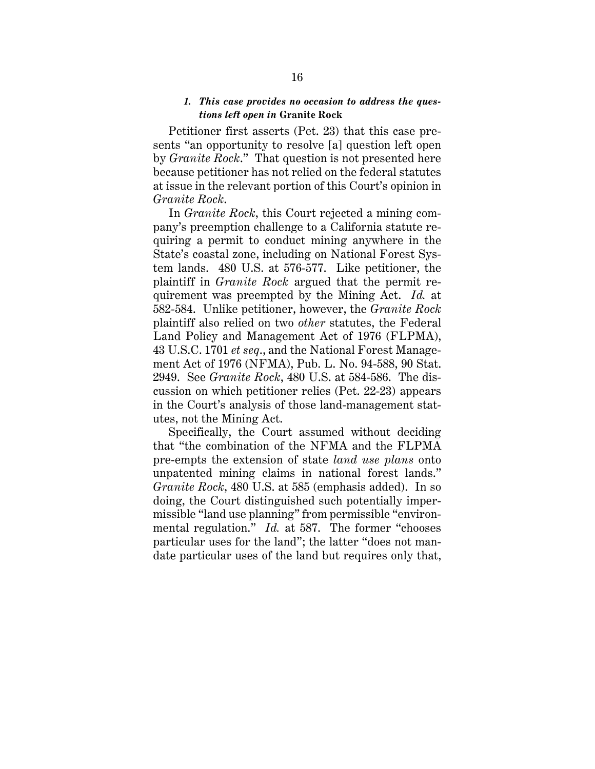### *1. This case provides no occasion to address the questions left open in* **Granite Rock**

Petitioner first asserts (Pet. 23) that this case presents "an opportunity to resolve [a] question left open by *Granite Rock*." That question is not presented here because petitioner has not relied on the federal statutes at issue in the relevant portion of this Court's opinion in *Granite Rock*.

In *Granite Rock*, this Court rejected a mining company's preemption challenge to a California statute requiring a permit to conduct mining anywhere in the State's coastal zone, including on National Forest System lands. 480 U.S. at 576-577. Like petitioner, the plaintiff in *Granite Rock* argued that the permit requirement was preempted by the Mining Act. *Id.* at 582-584. Unlike petitioner, however, the *Granite Rock*  plaintiff also relied on two *other* statutes, the Federal Land Policy and Management Act of 1976 (FLPMA), 43 U.S.C. 1701 *et seq*., and the National Forest Management Act of 1976 (NFMA), Pub. L. No. 94-588, 90 Stat. 2949. See *Granite Rock*, 480 U.S. at 584-586. The discussion on which petitioner relies (Pet. 22-23) appears in the Court's analysis of those land-management statutes, not the Mining Act.

Specifically, the Court assumed without deciding that "the combination of the NFMA and the FLPMA pre-empts the extension of state *land use plans* onto unpatented mining claims in national forest lands." *Granite Rock*, 480 U.S. at 585 (emphasis added). In so doing, the Court distinguished such potentially impermissible "land use planning" from permissible "environmental regulation." *Id.* at 587. The former "chooses particular uses for the land"; the latter "does not mandate particular uses of the land but requires only that,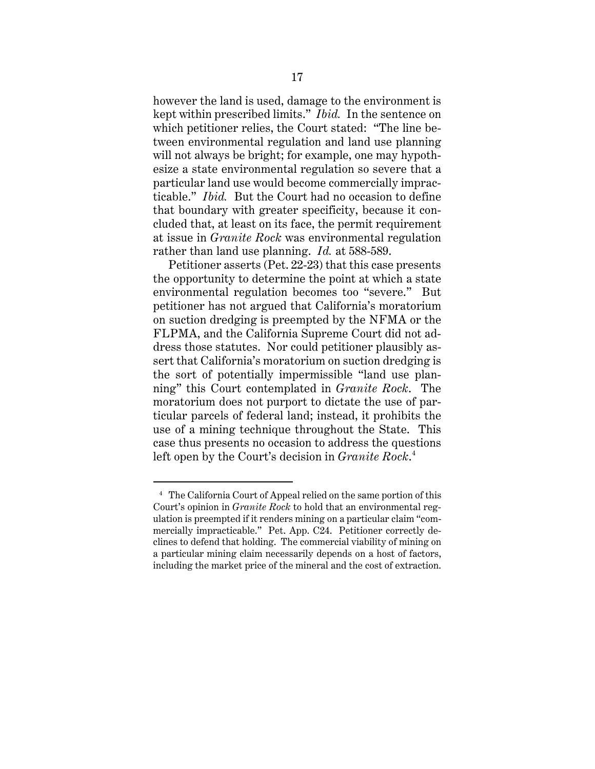however the land is used, damage to the environment is kept within prescribed limits." *Ibid.* In the sentence on which petitioner relies, the Court stated: "The line between environmental regulation and land use planning will not always be bright; for example, one may hypothesize a state environmental regulation so severe that a particular land use would become commercially impracticable." *Ibid.* But the Court had no occasion to define that boundary with greater specificity, because it concluded that, at least on its face, the permit requirement at issue in *Granite Rock* was environmental regulation rather than land use planning. *Id.* at 588-589.

Petitioner asserts (Pet. 22-23) that this case presents the opportunity to determine the point at which a state environmental regulation becomes too "severe." But petitioner has not argued that California's moratorium on suction dredging is preempted by the NFMA or the FLPMA, and the California Supreme Court did not address those statutes. Nor could petitioner plausibly assert that California's moratorium on suction dredging is the sort of potentially impermissible "land use planning" this Court contemplated in *Granite Rock*. The moratorium does not purport to dictate the use of particular parcels of federal land; instead, it prohibits the use of a mining technique throughout the State. This case thus presents no occasion to address the questions left open by the Court's decision in *Granite Rock*. 4

<sup>&</sup>lt;sup>4</sup> The California Court of Appeal relied on the same portion of this Court's opinion in *Granite Rock* to hold that an environmental regulation is preempted if it renders mining on a particular claim "commercially impracticable." Pet. App. C24. Petitioner correctly declines to defend that holding. The commercial viability of mining on a particular mining claim necessarily depends on a host of factors, including the market price of the mineral and the cost of extraction.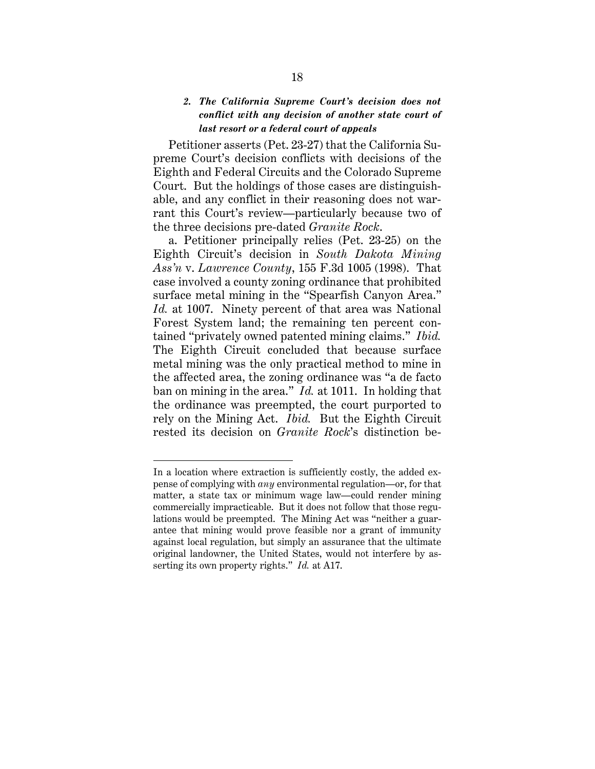# *2. The California Supreme Court's decision does not conflict with any decision of another state court of last resort or a federal court of appeals*

Petitioner asserts (Pet. 23-27) that the California Supreme Court's decision conflicts with decisions of the Eighth and Federal Circuits and the Colorado Supreme Court. But the holdings of those cases are distinguishable, and any conflict in their reasoning does not warrant this Court's review—particularly because two of the three decisions pre-dated *Granite Rock*.

a. Petitioner principally relies (Pet. 23-25) on the Eighth Circuit's decision in *South Dakota Mining Ass'n* v. *Lawrence County*, 155 F.3d 1005 (1998). That case involved a county zoning ordinance that prohibited surface metal mining in the "Spearfish Canyon Area." *Id.* at 1007. Ninety percent of that area was National Forest System land; the remaining ten percent contained "privately owned patented mining claims." *Ibid.* The Eighth Circuit concluded that because surface metal mining was the only practical method to mine in the affected area, the zoning ordinance was "a de facto ban on mining in the area." *Id.* at 1011. In holding that the ordinance was preempted, the court purported to rely on the Mining Act. *Ibid.* But the Eighth Circuit rested its decision on *Granite Rock*'s distinction be-

In a location where extraction is sufficiently costly, the added expense of complying with *any* environmental regulation—or, for that matter, a state tax or minimum wage law—could render mining commercially impracticable. But it does not follow that those regulations would be preempted. The Mining Act was "neither a guarantee that mining would prove feasible nor a grant of immunity against local regulation, but simply an assurance that the ultimate original landowner, the United States, would not interfere by asserting its own property rights." *Id.* at A17.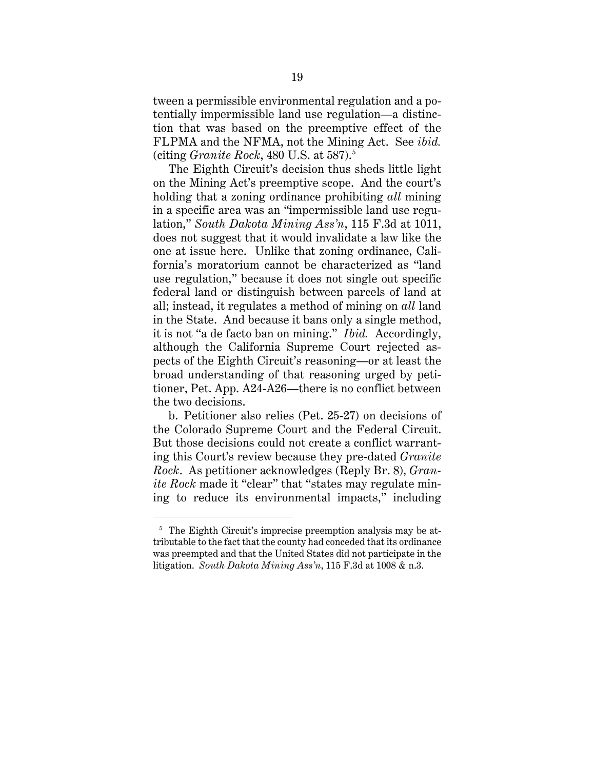tween a permissible environmental regulation and a potentially impermissible land use regulation—a distinction that was based on the preemptive effect of the FLPMA and the NFMA, not the Mining Act. See *ibid.* (citing *Granite Rock*, 480 U.S. at 587).5

The Eighth Circuit's decision thus sheds little light on the Mining Act's preemptive scope. And the court's holding that a zoning ordinance prohibiting *all* mining in a specific area was an "impermissible land use regulation," *South Dakota Mining Ass'n*, 115 F.3d at 1011, does not suggest that it would invalidate a law like the one at issue here. Unlike that zoning ordinance, California's moratorium cannot be characterized as "land use regulation," because it does not single out specific federal land or distinguish between parcels of land at all; instead, it regulates a method of mining on *all* land in the State. And because it bans only a single method, it is not "a de facto ban on mining." *Ibid.* Accordingly, although the California Supreme Court rejected aspects of the Eighth Circuit's reasoning—or at least the broad understanding of that reasoning urged by petitioner, Pet. App. A24-A26—there is no conflict between the two decisions.

b. Petitioner also relies (Pet. 25-27) on decisions of the Colorado Supreme Court and the Federal Circuit. But those decisions could not create a conflict warranting this Court's review because they pre-dated *Granite Rock*. As petitioner acknowledges (Reply Br. 8), *Granite Rock* made it "clear" that "states may regulate mining to reduce its environmental impacts," including

<sup>&</sup>lt;sup>5</sup> The Eighth Circuit's imprecise preemption analysis may be attributable to the fact that the county had conceded that its ordinance was preempted and that the United States did not participate in the litigation. *South Dakota Mining Ass'n*, 115 F.3d at 1008 & n.3.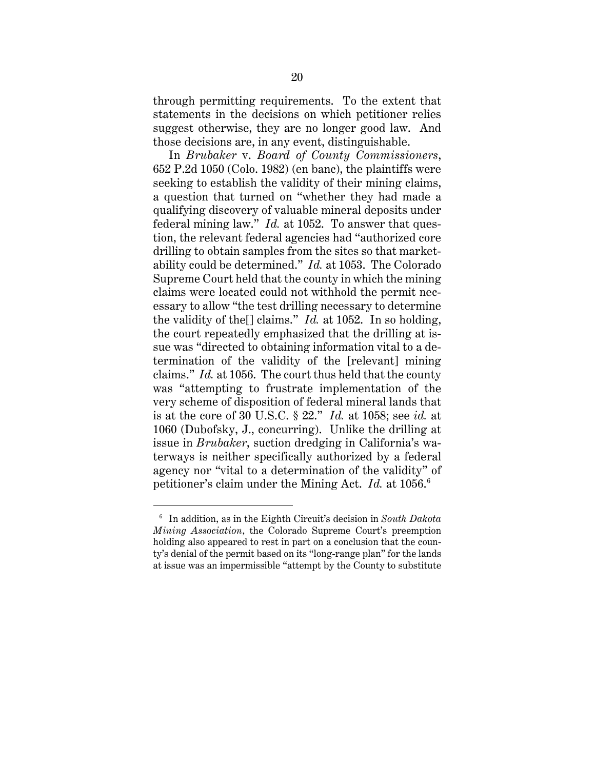through permitting requirements. To the extent that statements in the decisions on which petitioner relies suggest otherwise, they are no longer good law. And those decisions are, in any event, distinguishable.

In *Brubaker* v. *Board of County Commissioners*, 652 P.2d 1050 (Colo. 1982) (en banc), the plaintiffs were seeking to establish the validity of their mining claims, a question that turned on "whether they had made a qualifying discovery of valuable mineral deposits under federal mining law." *Id.* at 1052. To answer that question, the relevant federal agencies had "authorized core drilling to obtain samples from the sites so that marketability could be determined." *Id.* at 1053. The Colorado Supreme Court held that the county in which the mining claims were located could not withhold the permit necessary to allow "the test drilling necessary to determine the validity of the[] claims." *Id.* at 1052. In so holding, the court repeatedly emphasized that the drilling at issue was "directed to obtaining information vital to a determination of the validity of the [relevant] mining claims." *Id.* at 1056. The court thus held that the county was "attempting to frustrate implementation of the very scheme of disposition of federal mineral lands that is at the core of 30 U.S.C. § 22." *Id.* at 1058; see *id.* at 1060 (Dubofsky, J., concurring). Unlike the drilling at issue in *Brubaker*, suction dredging in California's waterways is neither specifically authorized by a federal agency nor "vital to a determination of the validity" of petitioner's claim under the Mining Act. *Id.* at 1056.<sup>6</sup>

<sup>6</sup> In addition, as in the Eighth Circuit's decision in *South Dakota Mining Association*, the Colorado Supreme Court's preemption holding also appeared to rest in part on a conclusion that the county's denial of the permit based on its "long-range plan" for the lands at issue was an impermissible "attempt by the County to substitute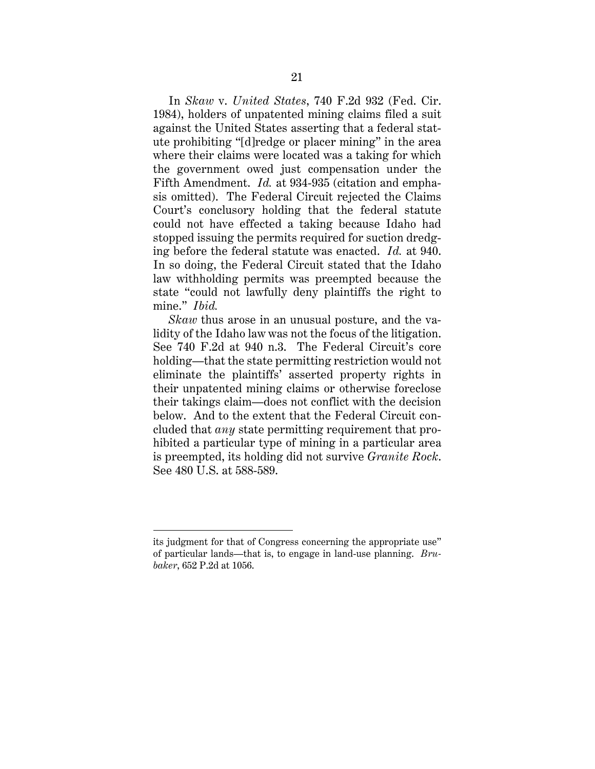In *Skaw* v. *United States*, 740 F.2d 932 (Fed. Cir. 1984), holders of unpatented mining claims filed a suit against the United States asserting that a federal statute prohibiting "[d]redge or placer mining" in the area where their claims were located was a taking for which the government owed just compensation under the Fifth Amendment. *Id.* at 934-935 (citation and emphasis omitted). The Federal Circuit rejected the Claims Court's conclusory holding that the federal statute could not have effected a taking because Idaho had stopped issuing the permits required for suction dredging before the federal statute was enacted. *Id.* at 940. In so doing, the Federal Circuit stated that the Idaho law withholding permits was preempted because the state "could not lawfully deny plaintiffs the right to mine." *Ibid.*

*Skaw* thus arose in an unusual posture, and the validity of the Idaho law was not the focus of the litigation. See 740 F.2d at 940 n.3. The Federal Circuit's core holding—that the state permitting restriction would not eliminate the plaintiffs' asserted property rights in their unpatented mining claims or otherwise foreclose their takings claim—does not conflict with the decision below. And to the extent that the Federal Circuit concluded that *any* state permitting requirement that prohibited a particular type of mining in a particular area is preempted, its holding did not survive *Granite Rock*. See 480 U.S. at 588-589.

its judgment for that of Congress concerning the appropriate use" of particular lands—that is, to engage in land-use planning. *Brubaker*, 652 P.2d at 1056.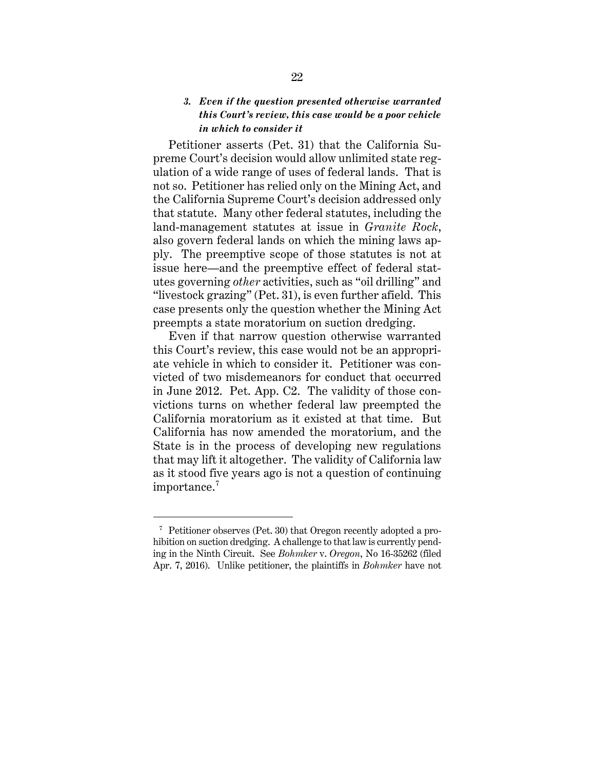# *3. Even if the question presented otherwise warranted this Court's review, this case would be a poor vehicle in which to consider it*

Petitioner asserts (Pet. 31) that the California Supreme Court's decision would allow unlimited state regulation of a wide range of uses of federal lands. That is not so. Petitioner has relied only on the Mining Act, and the California Supreme Court's decision addressed only that statute. Many other federal statutes, including the land-management statutes at issue in *Granite Rock*, also govern federal lands on which the mining laws apply. The preemptive scope of those statutes is not at issue here—and the preemptive effect of federal statutes governing *other* activities, such as "oil drilling" and "livestock grazing" (Pet. 31), is even further afield. This case presents only the question whether the Mining Act preempts a state moratorium on suction dredging.

Even if that narrow question otherwise warranted this Court's review, this case would not be an appropriate vehicle in which to consider it. Petitioner was convicted of two misdemeanors for conduct that occurred in June 2012. Pet. App. C2. The validity of those convictions turns on whether federal law preempted the California moratorium as it existed at that time. But California has now amended the moratorium, and the State is in the process of developing new regulations that may lift it altogether. The validity of California law as it stood five years ago is not a question of continuing importance.<sup>7</sup>

<sup>7</sup> Petitioner observes (Pet. 30) that Oregon recently adopted a prohibition on suction dredging. A challenge to that law is currently pending in the Ninth Circuit. See *Bohmker* v. *Oregon*, No 16-35262 (filed Apr. 7, 2016). Unlike petitioner, the plaintiffs in *Bohmker* have not